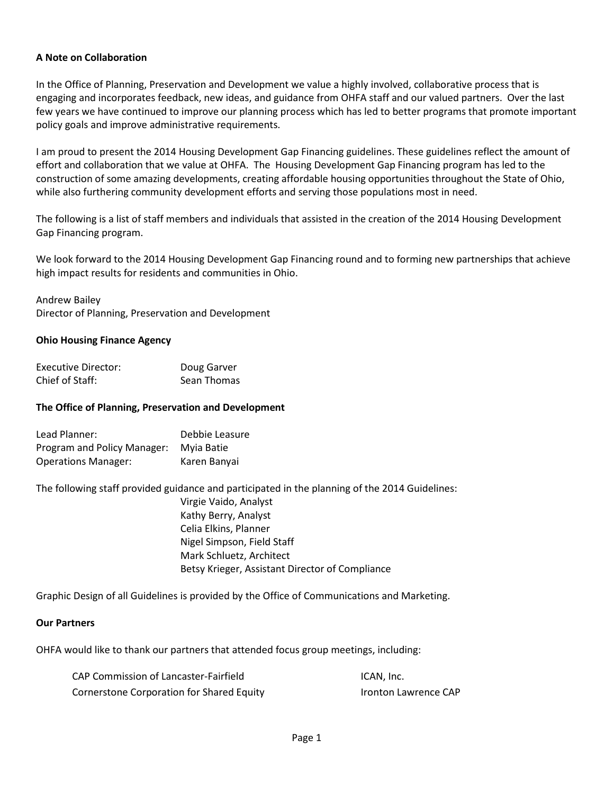#### **A Note on Collaboration**

In the Office of Planning, Preservation and Development we value a highly involved, collaborative process that is engaging and incorporates feedback, new ideas, and guidance from OHFA staff and our valued partners. Over the last few years we have continued to improve our planning process which has led to better programs that promote important policy goals and improve administrative requirements.

I am proud to present the 2014 Housing Development Gap Financing guidelines. These guidelines reflect the amount of effort and collaboration that we value at OHFA. The Housing Development Gap Financing program has led to the construction of some amazing developments, creating affordable housing opportunities throughout the State of Ohio, while also furthering community development efforts and serving those populations most in need.

The following is a list of staff members and individuals that assisted in the creation of the 2014 Housing Development Gap Financing program.

We look forward to the 2014 Housing Development Gap Financing round and to forming new partnerships that achieve high impact results for residents and communities in Ohio.

Andrew Bailey

Director of Planning, Preservation and Development

#### **Ohio Housing Finance Agency**

| Executive Director: | Doug Garver |
|---------------------|-------------|
| Chief of Staff:     | Sean Thomas |

#### **The Office of Planning, Preservation and Development**

| Lead Planner:               | Debbie Leasure |
|-----------------------------|----------------|
| Program and Policy Manager: | Myia Batie     |
| <b>Operations Manager:</b>  | Karen Banyai   |

The following staff provided guidance and participated in the planning of the 2014 Guidelines:

Virgie Vaido, Analyst Kathy Berry, Analyst Celia Elkins, Planner Nigel Simpson, Field Staff Mark Schluetz, Architect Betsy Krieger, Assistant Director of Compliance

Graphic Design of all Guidelines is provided by the Office of Communications and Marketing.

#### **Our Partners**

OHFA would like to thank our partners that attended focus group meetings, including:

| CAP Commission of Lancaster-Fairfield     | ICAN, Inc.                  |
|-------------------------------------------|-----------------------------|
| Cornerstone Corporation for Shared Equity | <b>Ironton Lawrence CAP</b> |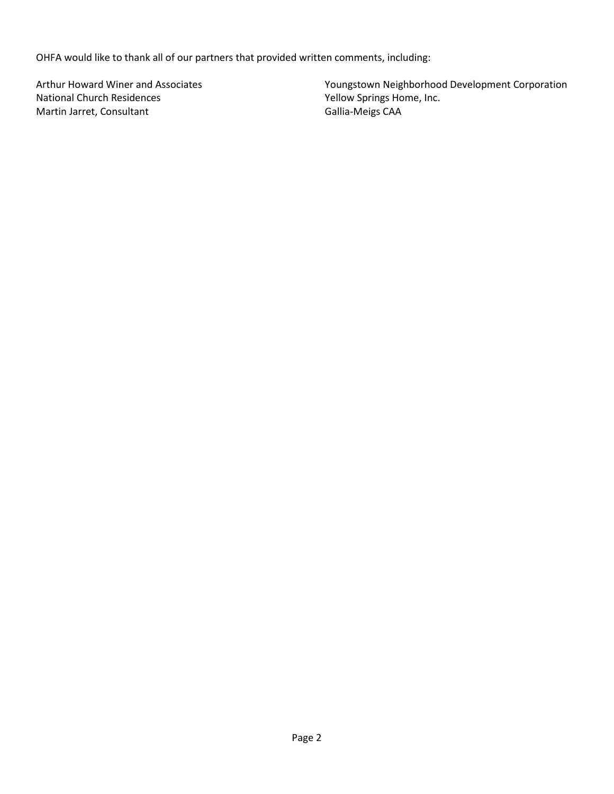OHFA would like to thank all of our partners that provided written comments, including:

Arthur Howard Winer and Associates National Church Residences Martin Jarret, Consultant

Youngstown Neighborhood Development Corporation Yellow Springs Home, Inc. Gallia-Meigs CAA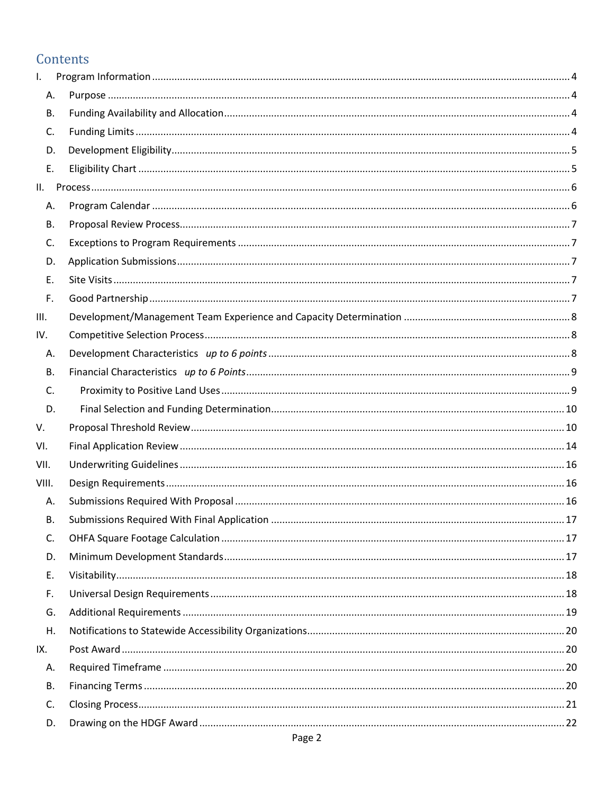# Contents

| I.        |  |
|-----------|--|
| Α.        |  |
| <b>B.</b> |  |
| C.        |  |
| D.        |  |
| Ε.        |  |
| II.       |  |
| А.        |  |
| В.        |  |
| C.        |  |
| D.        |  |
| Ε.        |  |
| F.        |  |
| III.      |  |
| IV.       |  |
| Α.        |  |
| <b>B.</b> |  |
| C.        |  |
| D.        |  |
| V.        |  |
| VI.       |  |
| VII.      |  |
| VIII.     |  |
| Α.        |  |
| В.        |  |
| C.        |  |
| D.        |  |
| Ε.        |  |
| F.        |  |
| G.        |  |
| Η.        |  |
| IX.       |  |
| Α.        |  |
| <b>B.</b> |  |
| C.        |  |
| D.        |  |
|           |  |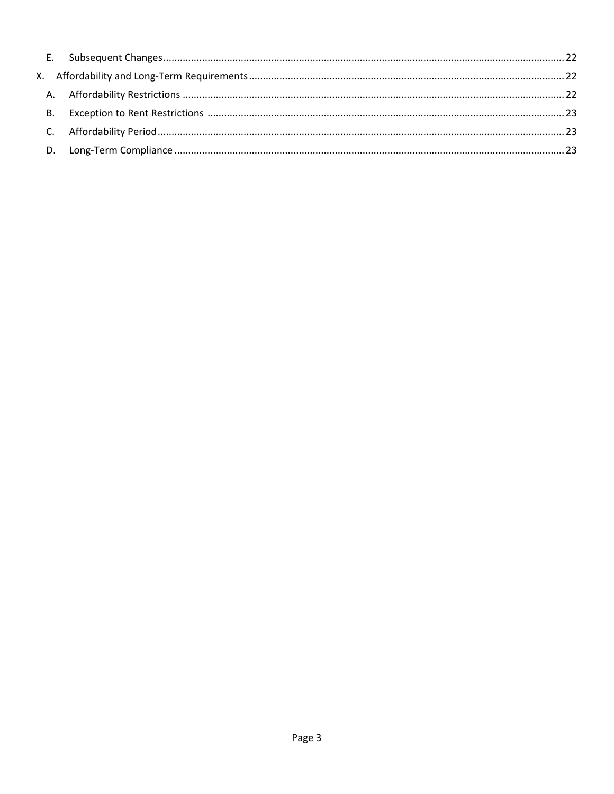| <b>B.</b> |  |
|-----------|--|
|           |  |
|           |  |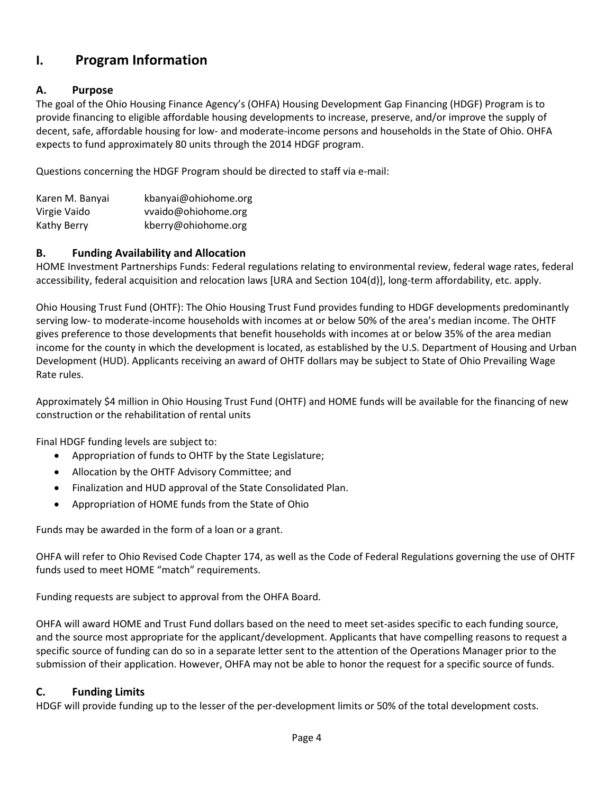# <span id="page-4-0"></span>**I. Program Information**

### <span id="page-4-1"></span>**A. Purpose**

The goal of the Ohio Housing Finance Agency's (OHFA) Housing Development Gap Financing (HDGF) Program is to provide financing to eligible affordable housing developments to increase, preserve, and/or improve the supply of decent, safe, affordable housing for low- and moderate-income persons and households in the State of Ohio. OHFA expects to fund approximately 80 units through the 2014 HDGF program.

Questions concerning the HDGF Program should be directed to staff via e-mail:

| Karen M. Banyai | kbanyai@ohiohome.org |
|-----------------|----------------------|
| Virgie Vaido    | vvaido@ohiohome.org  |
| Kathy Berry     | kberry@ohiohome.org  |

### <span id="page-4-2"></span>**B. Funding Availability and Allocation**

HOME Investment Partnerships Funds: Federal regulations relating to environmental review, federal wage rates, federal accessibility, federal acquisition and relocation laws [URA and Section 104(d)], long-term affordability, etc. apply.

Ohio Housing Trust Fund (OHTF): The Ohio Housing Trust Fund provides funding to HDGF developments predominantly serving low- to moderate-income households with incomes at or below 50% of the area's median income. The OHTF gives preference to those developments that benefit households with incomes at or below 35% of the area median income for the county in which the development is located, as established by the U.S. Department of Housing and Urban Development (HUD). Applicants receiving an award of OHTF dollars may be subject to State of Ohio Prevailing Wage Rate rules.

Approximately \$4 million in Ohio Housing Trust Fund (OHTF) and HOME funds will be available for the financing of new construction or the rehabilitation of rental units

Final HDGF funding levels are subject to:

- Appropriation of funds to OHTF by the State Legislature;
- Allocation by the OHTF Advisory Committee; and
- Finalization and HUD approval of the State Consolidated Plan.
- Appropriation of HOME funds from the State of Ohio

Funds may be awarded in the form of a loan or a grant.

OHFA will refer to Ohio Revised Code Chapter 174, as well as the Code of Federal Regulations governing the use of OHTF funds used to meet HOME "match" requirements.

Funding requests are subject to approval from the OHFA Board.

OHFA will award HOME and Trust Fund dollars based on the need to meet set-asides specific to each funding source, and the source most appropriate for the applicant/development. Applicants that have compelling reasons to request a specific source of funding can do so in a separate letter sent to the attention of the Operations Manager prior to the submission of their application. However, OHFA may not be able to honor the request for a specific source of funds.

### <span id="page-4-3"></span>**C. Funding Limits**

HDGF will provide funding up to the lesser of the per-development limits or 50% of the total development costs.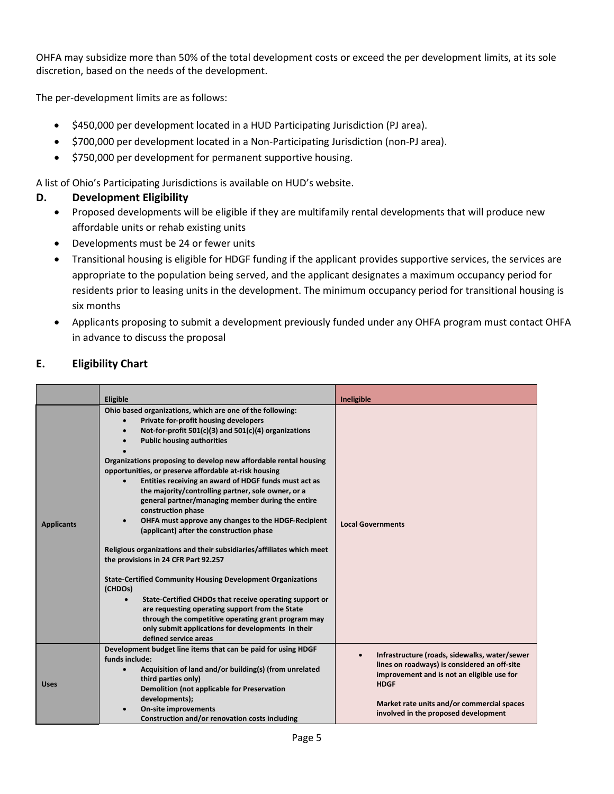OHFA may subsidize more than 50% of the total development costs or exceed the per development limits, at its sole discretion, based on the needs of the development.

The per-development limits are as follows:

- \$450,000 per development located in a HUD Participating Jurisdiction (PJ area).
- \$700,000 per development located in a Non-Participating Jurisdiction (non-PJ area).
- \$750,000 per development for permanent supportive housing.

A list of Ohio's Participating Jurisdictions is available on HUD's website.

#### <span id="page-5-0"></span>**D. Development Eligibility**

- Proposed developments will be eligible if they are multifamily rental developments that will produce new affordable units or rehab existing units
- Developments must be 24 or fewer units
- Transitional housing is eligible for HDGF funding if the applicant provides supportive services, the services are appropriate to the population being served, and the applicant designates a maximum occupancy period for residents prior to leasing units in the development. The minimum occupancy period for transitional housing is six months
- Applicants proposing to submit a development previously funded under any OHFA program must contact OHFA in advance to discuss the proposal

#### <span id="page-5-1"></span>**E. Eligibility Chart**

|                   | Eligible                                                                                                                                                                                                                                                                                                                                                                                                                                                                                                                                                                                                                                            | Ineligible                                                                                                                                                                                                                                                    |
|-------------------|-----------------------------------------------------------------------------------------------------------------------------------------------------------------------------------------------------------------------------------------------------------------------------------------------------------------------------------------------------------------------------------------------------------------------------------------------------------------------------------------------------------------------------------------------------------------------------------------------------------------------------------------------------|---------------------------------------------------------------------------------------------------------------------------------------------------------------------------------------------------------------------------------------------------------------|
| <b>Applicants</b> | Ohio based organizations, which are one of the following:<br>Private for-profit housing developers<br>Not-for-profit 501(c)(3) and 501(c)(4) organizations<br>$\bullet$<br><b>Public housing authorities</b><br>Organizations proposing to develop new affordable rental housing<br>opportunities, or preserve affordable at-risk housing<br>Entities receiving an award of HDGF funds must act as<br>the majority/controlling partner, sole owner, or a<br>general partner/managing member during the entire<br>construction phase<br>OHFA must approve any changes to the HDGF-Recipient<br>$\bullet$<br>(applicant) after the construction phase | <b>Local Governments</b>                                                                                                                                                                                                                                      |
|                   | Religious organizations and their subsidiaries/affiliates which meet<br>the provisions in 24 CFR Part 92.257<br><b>State-Certified Community Housing Development Organizations</b><br>(CHDOs)<br>State-Certified CHDOs that receive operating support or<br>are requesting operating support from the State<br>through the competitive operating grant program may<br>only submit applications for developments in their<br>defined service areas                                                                                                                                                                                                   |                                                                                                                                                                                                                                                               |
| <b>Uses</b>       | Development budget line items that can be paid for using HDGF<br>funds include:<br>Acquisition of land and/or building(s) (from unrelated<br>third parties only)<br>Demolition (not applicable for Preservation<br>developments);<br>On-site improvements<br>$\bullet$<br>Construction and/or renovation costs including                                                                                                                                                                                                                                                                                                                            | Infrastructure (roads, sidewalks, water/sewer<br>$\bullet$<br>lines on roadways) is considered an off-site<br>improvement and is not an eligible use for<br><b>HDGF</b><br>Market rate units and/or commercial spaces<br>involved in the proposed development |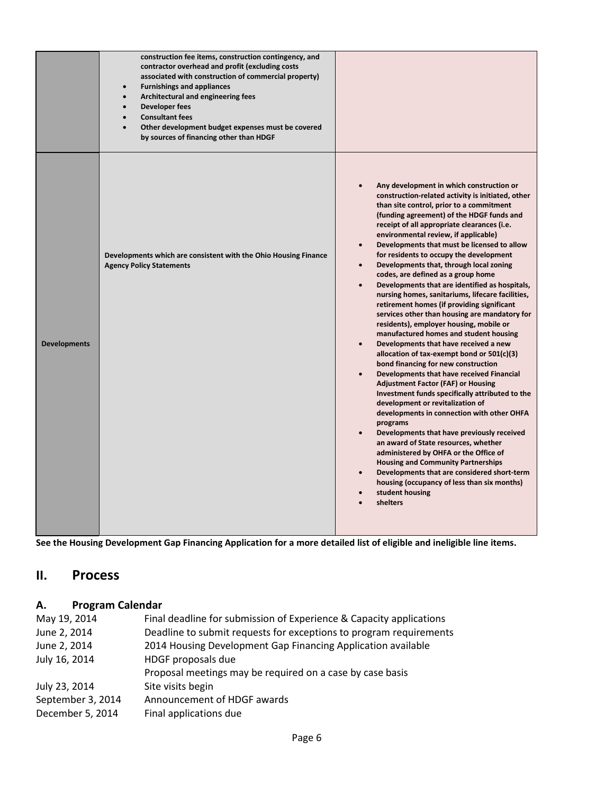|                     | construction fee items, construction contingency, and<br>contractor overhead and profit (excluding costs<br>associated with construction of commercial property)<br><b>Furnishings and appliances</b><br>$\bullet$<br>Architectural and engineering fees<br>$\bullet$<br><b>Developer fees</b><br>$\bullet$<br><b>Consultant fees</b><br>$\bullet$<br>Other development budget expenses must be covered<br>$\bullet$<br>by sources of financing other than HDGF |                                                                                                                                                                                                                                                                                                                                                                                                                                                                                                                                                                                                                                                                                                                                                                                                                                                                                                                                                                                                                                                                                                                                                                                                                                                                                                                                                                                                                                                                                                                                              |
|---------------------|-----------------------------------------------------------------------------------------------------------------------------------------------------------------------------------------------------------------------------------------------------------------------------------------------------------------------------------------------------------------------------------------------------------------------------------------------------------------|----------------------------------------------------------------------------------------------------------------------------------------------------------------------------------------------------------------------------------------------------------------------------------------------------------------------------------------------------------------------------------------------------------------------------------------------------------------------------------------------------------------------------------------------------------------------------------------------------------------------------------------------------------------------------------------------------------------------------------------------------------------------------------------------------------------------------------------------------------------------------------------------------------------------------------------------------------------------------------------------------------------------------------------------------------------------------------------------------------------------------------------------------------------------------------------------------------------------------------------------------------------------------------------------------------------------------------------------------------------------------------------------------------------------------------------------------------------------------------------------------------------------------------------------|
| <b>Developments</b> | Developments which are consistent with the Ohio Housing Finance<br><b>Agency Policy Statements</b>                                                                                                                                                                                                                                                                                                                                                              | Any development in which construction or<br>$\bullet$<br>construction-related activity is initiated, other<br>than site control, prior to a commitment<br>(funding agreement) of the HDGF funds and<br>receipt of all appropriate clearances (i.e.<br>environmental review, if applicable)<br>Developments that must be licensed to allow<br>$\bullet$<br>for residents to occupy the development<br>Developments that, through local zoning<br>$\bullet$<br>codes, are defined as a group home<br>Developments that are identified as hospitals,<br>$\bullet$<br>nursing homes, sanitariums, lifecare facilities,<br>retirement homes (if providing significant<br>services other than housing are mandatory for<br>residents), employer housing, mobile or<br>manufactured homes and student housing<br>Developments that have received a new<br>$\bullet$<br>allocation of tax-exempt bond or 501(c)(3)<br>bond financing for new construction<br>Developments that have received Financial<br>$\bullet$<br><b>Adjustment Factor (FAF) or Housing</b><br>Investment funds specifically attributed to the<br>development or revitalization of<br>developments in connection with other OHFA<br>programs<br>Developments that have previously received<br>$\bullet$<br>an award of State resources, whether<br>administered by OHFA or the Office of<br><b>Housing and Community Partnerships</b><br>Developments that are considered short-term<br>$\bullet$<br>housing (occupancy of less than six months)<br>student housing<br>shelters |

**See the Housing Development Gap Financing Application for a more detailed list of eligible and ineligible line items.**

# <span id="page-6-0"></span>**II. Process**

## <span id="page-6-1"></span>**A. Program Calendar**

| May 19, 2014      | Final deadline for submission of Experience & Capacity applications |
|-------------------|---------------------------------------------------------------------|
| June 2, 2014      | Deadline to submit requests for exceptions to program requirements  |
| June 2, 2014      | 2014 Housing Development Gap Financing Application available        |
| July 16, 2014     | HDGF proposals due                                                  |
|                   | Proposal meetings may be required on a case by case basis           |
| July 23, 2014     | Site visits begin                                                   |
| September 3, 2014 | Announcement of HDGF awards                                         |
| December 5, 2014  | Final applications due                                              |
|                   |                                                                     |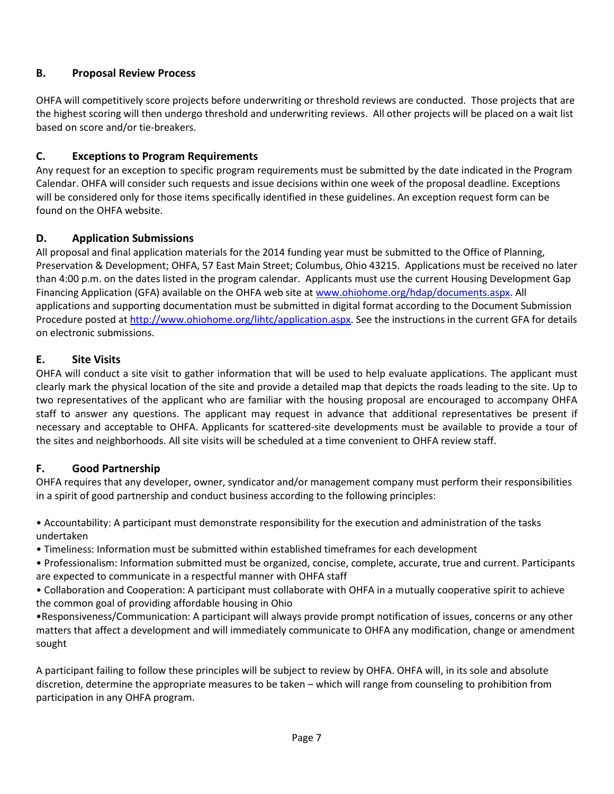### <span id="page-7-0"></span>**B. Proposal Review Process**

OHFA will competitively score projects before underwriting or threshold reviews are conducted. Those projects that are the highest scoring will then undergo threshold and underwriting reviews. All other projects will be placed on a wait list based on score and/or tie-breakers.

#### <span id="page-7-1"></span>**C. Exceptions to Program Requirements**

Any request for an exception to specific program requirements must be submitted by the date indicated in the Program Calendar. OHFA will consider such requests and issue decisions within one week of the proposal deadline. Exceptions will be considered only for those items specifically identified in these guidelines. An exception request form can be found on the OHFA website.

#### <span id="page-7-2"></span>**D. Application Submissions**

All proposal and final application materials for the 2014 funding year must be submitted to the Office of Planning, Preservation & Development; OHFA, 57 East Main Street; Columbus, Ohio 43215. Applications must be received no later than 4:00 p.m. on the dates listed in the program calendar. Applicants must use the current Housing Development Gap Financing Application (GFA) available on the OHFA web site at [www.ohiohome.org/hdap/documents.aspx.](http://www.ohiohome.org/hdap/documents.aspx) All applications and supporting documentation must be submitted in digital format according to the Document Submission Procedure posted a[t http://www.ohiohome.org/lihtc/application.aspx.](http://www.ohiohome.org/lihtc/application.aspx) See the instructions in the current GFA for details on electronic submissions.

#### <span id="page-7-3"></span>**E. Site Visits**

OHFA will conduct a site visit to gather information that will be used to help evaluate applications. The applicant must clearly mark the physical location of the site and provide a detailed map that depicts the roads leading to the site. Up to two representatives of the applicant who are familiar with the housing proposal are encouraged to accompany OHFA staff to answer any questions. The applicant may request in advance that additional representatives be present if necessary and acceptable to OHFA. Applicants for scattered-site developments must be available to provide a tour of the sites and neighborhoods. All site visits will be scheduled at a time convenient to OHFA review staff.

### <span id="page-7-4"></span>**F. Good Partnership**

OHFA requires that any developer, owner, syndicator and/or management company must perform their responsibilities in a spirit of good partnership and conduct business according to the following principles:

• Accountability: A participant must demonstrate responsibility for the execution and administration of the tasks undertaken

• Timeliness: Information must be submitted within established timeframes for each development

• Professionalism: Information submitted must be organized, concise, complete, accurate, true and current. Participants are expected to communicate in a respectful manner with OHFA staff

• Collaboration and Cooperation: A participant must collaborate with OHFA in a mutually cooperative spirit to achieve the common goal of providing affordable housing in Ohio

•Responsiveness/Communication: A participant will always provide prompt notification of issues, concerns or any other matters that affect a development and will immediately communicate to OHFA any modification, change or amendment sought

A participant failing to follow these principles will be subject to review by OHFA. OHFA will, in its sole and absolute discretion, determine the appropriate measures to be taken – which will range from counseling to prohibition from participation in any OHFA program.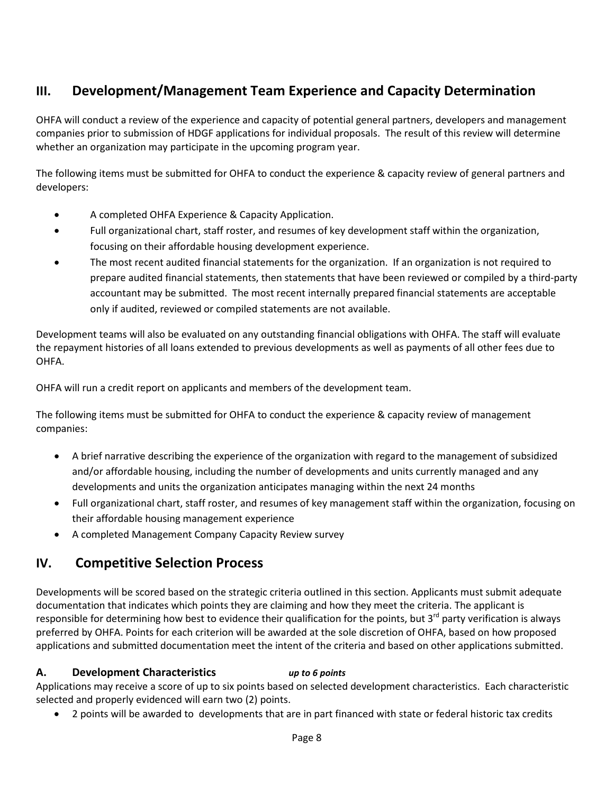# <span id="page-8-0"></span>**III. Development/Management Team Experience and Capacity Determination**

OHFA will conduct a review of the experience and capacity of potential general partners, developers and management companies prior to submission of HDGF applications for individual proposals. The result of this review will determine whether an organization may participate in the upcoming program year.

The following items must be submitted for OHFA to conduct the experience & capacity review of general partners and developers:

- A completed OHFA Experience & Capacity Application.
- Full organizational chart, staff roster, and resumes of key development staff within the organization, focusing on their affordable housing development experience.
- The most recent audited financial statements for the organization. If an organization is not required to prepare audited financial statements, then statements that have been reviewed or compiled by a third-party accountant may be submitted. The most recent internally prepared financial statements are acceptable only if audited, reviewed or compiled statements are not available.

Development teams will also be evaluated on any outstanding financial obligations with OHFA. The staff will evaluate the repayment histories of all loans extended to previous developments as well as payments of all other fees due to OHFA.

OHFA will run a credit report on applicants and members of the development team.

The following items must be submitted for OHFA to conduct the experience & capacity review of management companies:

- A brief narrative describing the experience of the organization with regard to the management of subsidized and/or affordable housing, including the number of developments and units currently managed and any developments and units the organization anticipates managing within the next 24 months
- Full organizational chart, staff roster, and resumes of key management staff within the organization, focusing on their affordable housing management experience
- <span id="page-8-1"></span>• A completed Management Company Capacity Review survey

## **IV. Competitive Selection Process**

Developments will be scored based on the strategic criteria outlined in this section. Applicants must submit adequate documentation that indicates which points they are claiming and how they meet the criteria. The applicant is responsible for determining how best to evidence their qualification for the points, but  $3^{rd}$  party verification is always preferred by OHFA. Points for each criterion will be awarded at the sole discretion of OHFA, based on how proposed applications and submitted documentation meet the intent of the criteria and based on other applications submitted.

#### <span id="page-8-2"></span>**A. Development Characteristics** *up to 6 points*

Applications may receive a score of up to six points based on selected development characteristics. Each characteristic selected and properly evidenced will earn two (2) points.

• 2 points will be awarded to developments that are in part financed with state or federal historic tax credits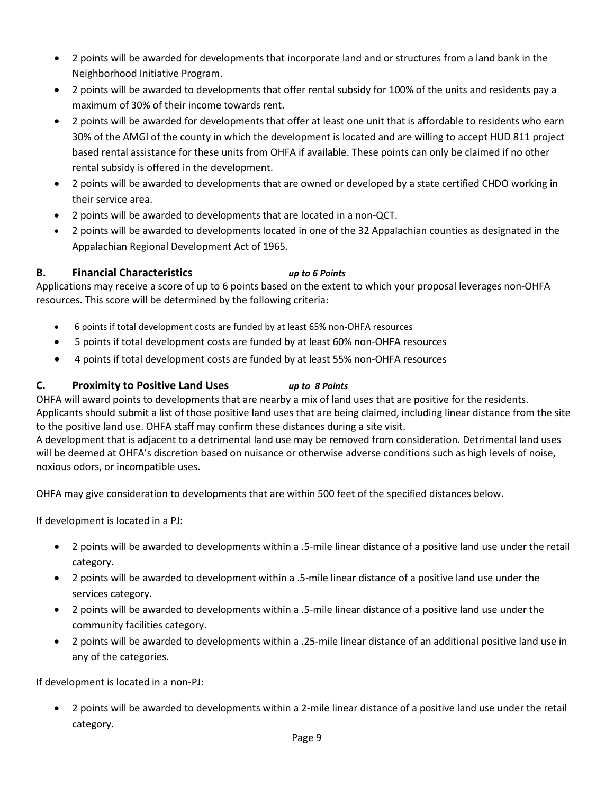- 2 points will be awarded for developments that incorporate land and or structures from a land bank in the Neighborhood Initiative Program.
- 2 points will be awarded to developments that offer rental subsidy for 100% of the units and residents pay a maximum of 30% of their income towards rent.
- 2 points will be awarded for developments that offer at least one unit that is affordable to residents who earn 30% of the AMGI of the county in which the development is located and are willing to accept HUD 811 project based rental assistance for these units from OHFA if available. These points can only be claimed if no other rental subsidy is offered in the development.
- 2 points will be awarded to developments that are owned or developed by a state certified CHDO working in their service area.
- 2 points will be awarded to developments that are located in a non-QCT.
- 2 points will be awarded to developments located in one of the 32 Appalachian counties as designated in the Appalachian Regional Development Act of 1965.

### <span id="page-9-0"></span>**B. Financial Characteristics** *up to 6 Points*

Applications may receive a score of up to 6 points based on the extent to which your proposal leverages non-OHFA resources. This score will be determined by the following criteria:

- 6 points if total development costs are funded by at least 65% non-OHFA resources
- 5 points if total development costs are funded by at least 60% non-OHFA resources
- 4 points if total development costs are funded by at least 55% non-OHFA resources

#### <span id="page-9-1"></span>**C. Proximity to Positive Land Uses** *up to 8 Points*

OHFA will award points to developments that are nearby a mix of land uses that are positive for the residents. Applicants should submit a list of those positive land uses that are being claimed, including linear distance from the site to the positive land use. OHFA staff may confirm these distances during a site visit. A development that is adjacent to a detrimental land use may be removed from consideration. Detrimental land uses

will be deemed at OHFA's discretion based on nuisance or otherwise adverse conditions such as high levels of noise, noxious odors, or incompatible uses.

OHFA may give consideration to developments that are within 500 feet of the specified distances below.

If development is located in a PJ:

- 2 points will be awarded to developments within a .5-mile linear distance of a positive land use under the retail category.
- 2 points will be awarded to development within a .5-mile linear distance of a positive land use under the services category.
- 2 points will be awarded to developments within a .5-mile linear distance of a positive land use under the community facilities category.
- 2 points will be awarded to developments within a .25-mile linear distance of an additional positive land use in any of the categories.

If development is located in a non-PJ:

• 2 points will be awarded to developments within a 2-mile linear distance of a positive land use under the retail category.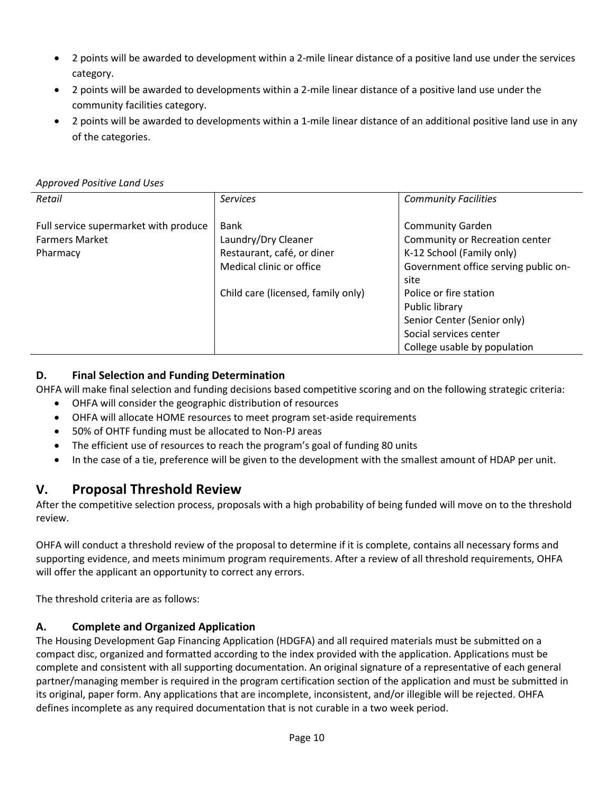- 2 points will be awarded to development within a 2-mile linear distance of a positive land use under the services category.
- 2 points will be awarded to developments within a 2-mile linear distance of a positive land use under the community facilities category.
- 2 points will be awarded to developments within a 1-mile linear distance of an additional positive land use in any of the categories.

#### *Approved Positive Land Uses*

| Retail                                | <b>Services</b>                    | <b>Community Facilities</b>          |
|---------------------------------------|------------------------------------|--------------------------------------|
|                                       |                                    |                                      |
| Full service supermarket with produce | Bank                               | <b>Community Garden</b>              |
| <b>Farmers Market</b>                 | Laundry/Dry Cleaner                | Community or Recreation center       |
| Pharmacy                              | Restaurant, café, or diner         | K-12 School (Family only)            |
|                                       | Medical clinic or office           | Government office serving public on- |
|                                       |                                    | site                                 |
|                                       | Child care (licensed, family only) | Police or fire station               |
|                                       |                                    | Public library                       |
|                                       |                                    | Senior Center (Senior only)          |
|                                       |                                    | Social services center               |
|                                       |                                    | College usable by population         |

### <span id="page-10-0"></span>**D. Final Selection and Funding Determination**

OHFA will make final selection and funding decisions based competitive scoring and on the following strategic criteria:

- OHFA will consider the geographic distribution of resources
- OHFA will allocate HOME resources to meet program set-aside requirements
- 50% of OHTF funding must be allocated to Non-PJ areas
- The efficient use of resources to reach the program's goal of funding 80 units
- In the case of a tie, preference will be given to the development with the smallest amount of HDAP per unit.

## <span id="page-10-1"></span>**V. Proposal Threshold Review**

After the competitive selection process, proposals with a high probability of being funded will move on to the threshold review.

OHFA will conduct a threshold review of the proposal to determine if it is complete, contains all necessary forms and supporting evidence, and meets minimum program requirements. After a review of all threshold requirements, OHFA will offer the applicant an opportunity to correct any errors.

The threshold criteria are as follows:

#### **A. Complete and Organized Application**

The Housing Development Gap Financing Application (HDGFA) and all required materials must be submitted on a compact disc, organized and formatted according to the index provided with the application. Applications must be complete and consistent with all supporting documentation. An original signature of a representative of each general partner/managing member is required in the program certification section of the application and must be submitted in its original, paper form. Any applications that are incomplete, inconsistent, and/or illegible will be rejected. OHFA defines incomplete as any required documentation that is not curable in a two week period.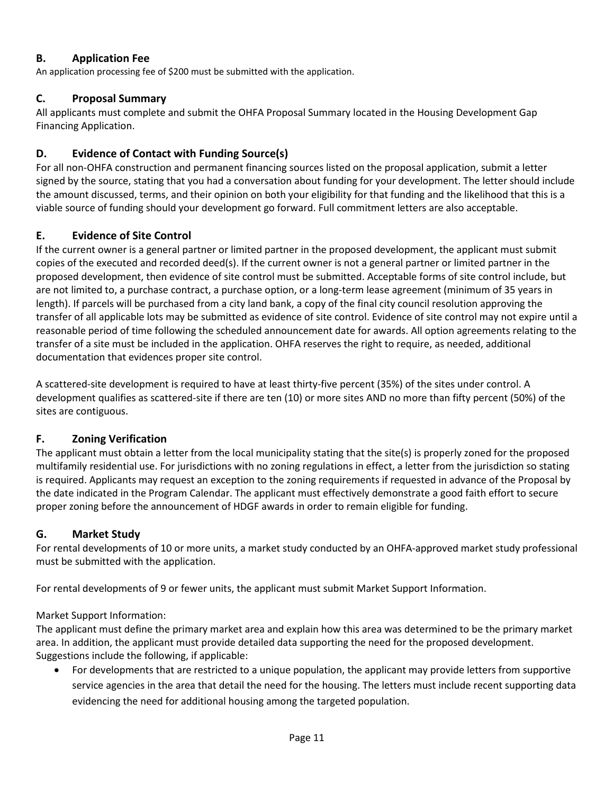### **B. Application Fee**

An application processing fee of \$200 must be submitted with the application.

#### **C. Proposal Summary**

All applicants must complete and submit the OHFA Proposal Summary located in the Housing Development Gap Financing Application.

#### **D. Evidence of Contact with Funding Source(s)**

For all non-OHFA construction and permanent financing sources listed on the proposal application, submit a letter signed by the source, stating that you had a conversation about funding for your development. The letter should include the amount discussed, terms, and their opinion on both your eligibility for that funding and the likelihood that this is a viable source of funding should your development go forward. Full commitment letters are also acceptable.

#### **E. Evidence of Site Control**

If the current owner is a general partner or limited partner in the proposed development, the applicant must submit copies of the executed and recorded deed(s). If the current owner is not a general partner or limited partner in the proposed development, then evidence of site control must be submitted. Acceptable forms of site control include, but are not limited to, a purchase contract, a purchase option, or a long-term lease agreement (minimum of 35 years in length). If parcels will be purchased from a city land bank, a copy of the final city council resolution approving the transfer of all applicable lots may be submitted as evidence of site control. Evidence of site control may not expire until a reasonable period of time following the scheduled announcement date for awards. All option agreements relating to the transfer of a site must be included in the application. OHFA reserves the right to require, as needed, additional documentation that evidences proper site control.

A scattered-site development is required to have at least thirty-five percent (35%) of the sites under control. A development qualifies as scattered-site if there are ten (10) or more sites AND no more than fifty percent (50%) of the sites are contiguous.

### **F. Zoning Verification**

The applicant must obtain a letter from the local municipality stating that the site(s) is properly zoned for the proposed multifamily residential use. For jurisdictions with no zoning regulations in effect, a letter from the jurisdiction so stating is required. Applicants may request an exception to the zoning requirements if requested in advance of the Proposal by the date indicated in the Program Calendar. The applicant must effectively demonstrate a good faith effort to secure proper zoning before the announcement of HDGF awards in order to remain eligible for funding.

### **G. Market Study**

For rental developments of 10 or more units, a market study conducted by an OHFA-approved market study professional must be submitted with the application.

For rental developments of 9 or fewer units, the applicant must submit Market Support Information.

#### Market Support Information:

The applicant must define the primary market area and explain how this area was determined to be the primary market area. In addition, the applicant must provide detailed data supporting the need for the proposed development. Suggestions include the following, if applicable:

• For developments that are restricted to a unique population, the applicant may provide letters from supportive service agencies in the area that detail the need for the housing. The letters must include recent supporting data evidencing the need for additional housing among the targeted population.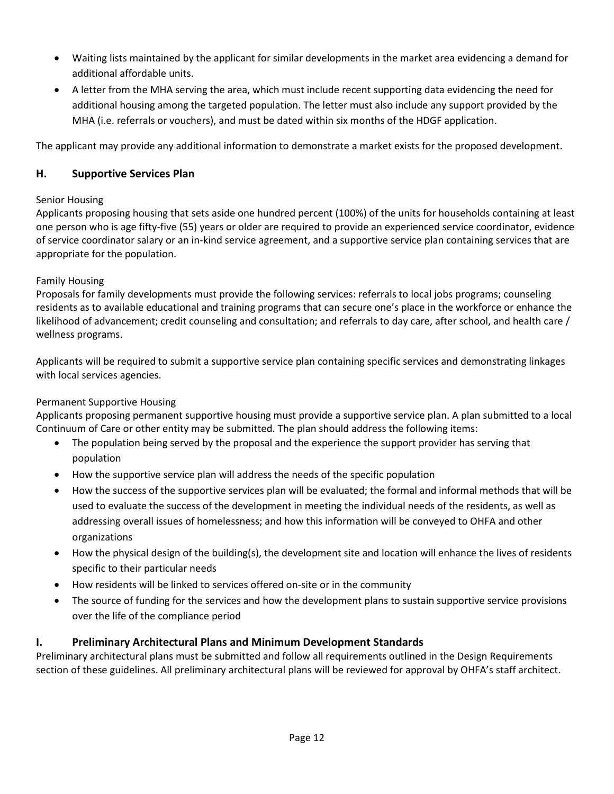- Waiting lists maintained by the applicant for similar developments in the market area evidencing a demand for additional affordable units.
- A letter from the MHA serving the area, which must include recent supporting data evidencing the need for additional housing among the targeted population. The letter must also include any support provided by the MHA (i.e. referrals or vouchers), and must be dated within six months of the HDGF application.

The applicant may provide any additional information to demonstrate a market exists for the proposed development.

#### **H. Supportive Services Plan**

#### Senior Housing

Applicants proposing housing that sets aside one hundred percent (100%) of the units for households containing at least one person who is age fifty-five (55) years or older are required to provide an experienced service coordinator, evidence of service coordinator salary or an in-kind service agreement, and a supportive service plan containing services that are appropriate for the population.

#### Family Housing

Proposals for family developments must provide the following services: referrals to local jobs programs; counseling residents as to available educational and training programs that can secure one's place in the workforce or enhance the likelihood of advancement; credit counseling and consultation; and referrals to day care, after school, and health care / wellness programs.

Applicants will be required to submit a supportive service plan containing specific services and demonstrating linkages with local services agencies.

#### Permanent Supportive Housing

Applicants proposing permanent supportive housing must provide a supportive service plan. A plan submitted to a local Continuum of Care or other entity may be submitted. The plan should address the following items:

- The population being served by the proposal and the experience the support provider has serving that population
- How the supportive service plan will address the needs of the specific population
- How the success of the supportive services plan will be evaluated; the formal and informal methods that will be used to evaluate the success of the development in meeting the individual needs of the residents, as well as addressing overall issues of homelessness; and how this information will be conveyed to OHFA and other organizations
- How the physical design of the building(s), the development site and location will enhance the lives of residents specific to their particular needs
- How residents will be linked to services offered on-site or in the community
- The source of funding for the services and how the development plans to sustain supportive service provisions over the life of the compliance period

#### **I. Preliminary Architectural Plans and Minimum Development Standards**

Preliminary architectural plans must be submitted and follow all requirements outlined in the Design Requirements section of these guidelines. All preliminary architectural plans will be reviewed for approval by OHFA's staff architect.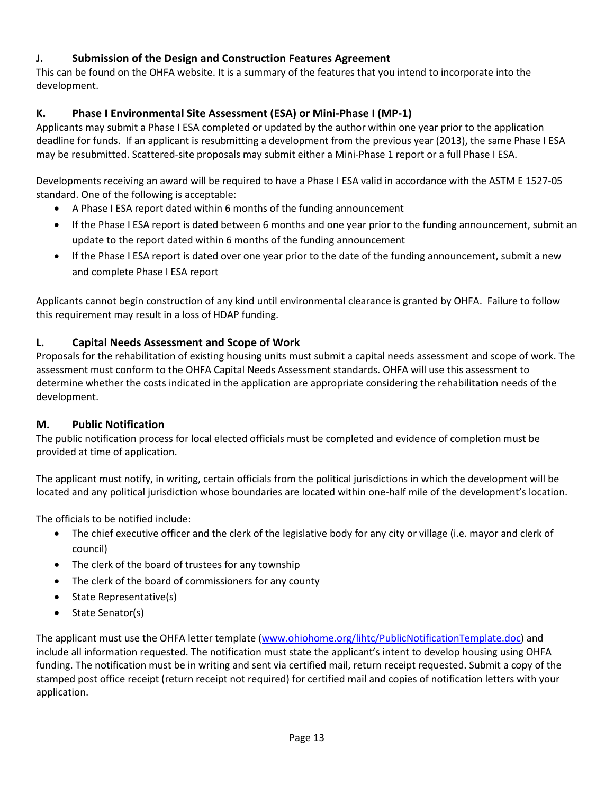### **J. Submission of the Design and Construction Features Agreement**

This can be found on the OHFA website. It is a summary of the features that you intend to incorporate into the development.

### **K. Phase I Environmental Site Assessment (ESA) or Mini-Phase I (MP-1)**

Applicants may submit a Phase I ESA completed or updated by the author within one year prior to the application deadline for funds. If an applicant is resubmitting a development from the previous year (2013), the same Phase I ESA may be resubmitted. Scattered-site proposals may submit either a Mini-Phase 1 report or a full Phase I ESA.

Developments receiving an award will be required to have a Phase I ESA valid in accordance with the ASTM E 1527-05 standard. One of the following is acceptable:

- A Phase I ESA report dated within 6 months of the funding announcement
- If the Phase I ESA report is dated between 6 months and one year prior to the funding announcement, submit an update to the report dated within 6 months of the funding announcement
- If the Phase I ESA report is dated over one year prior to the date of the funding announcement, submit a new and complete Phase I ESA report

Applicants cannot begin construction of any kind until environmental clearance is granted by OHFA. Failure to follow this requirement may result in a loss of HDAP funding.

### **L. Capital Needs Assessment and Scope of Work**

Proposals for the rehabilitation of existing housing units must submit a capital needs assessment and scope of work. The assessment must conform to the OHFA Capital Needs Assessment standards. OHFA will use this assessment to determine whether the costs indicated in the application are appropriate considering the rehabilitation needs of the development.

### **M. Public Notification**

The public notification process for local elected officials must be completed and evidence of completion must be provided at time of application.

The applicant must notify, in writing, certain officials from the political jurisdictions in which the development will be located and any political jurisdiction whose boundaries are located within one-half mile of the development's location.

The officials to be notified include:

- The chief executive officer and the clerk of the legislative body for any city or village (i.e. mayor and clerk of council)
- The clerk of the board of trustees for any township
- The clerk of the board of commissioners for any county
- State Representative(s)
- State Senator(s)

The applicant must use the OHFA letter template [\(www.ohiohome.org/lihtc/PublicNotificationTemplate.doc\)](http://www.ohiohome.org/lihtc/PublicNotificationTemplate.doc) and include all information requested. The notification must state the applicant's intent to develop housing using OHFA funding. The notification must be in writing and sent via certified mail, return receipt requested. Submit a copy of the stamped post office receipt (return receipt not required) for certified mail and copies of notification letters with your application.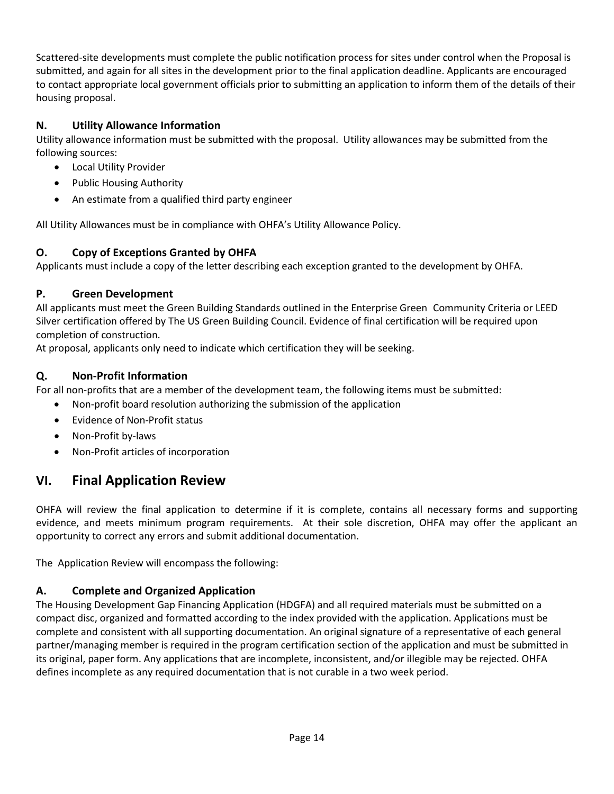Scattered-site developments must complete the public notification process for sites under control when the Proposal is submitted, and again for all sites in the development prior to the final application deadline. Applicants are encouraged to contact appropriate local government officials prior to submitting an application to inform them of the details of their housing proposal.

### **N. Utility Allowance Information**

Utility allowance information must be submitted with the proposal. Utility allowances may be submitted from the following sources:

- Local Utility Provider
- Public Housing Authority
- An estimate from a qualified third party engineer

All Utility Allowances must be in compliance with OHFA's Utility Allowance Policy.

### **O. Copy of Exceptions Granted by OHFA**

Applicants must include a copy of the letter describing each exception granted to the development by OHFA.

### **P. Green Development**

All applicants must meet the Green Building Standards outlined in the Enterprise Green Community Criteria or LEED Silver certification offered by The US Green Building Council. Evidence of final certification will be required upon completion of construction.

At proposal, applicants only need to indicate which certification they will be seeking.

### **Q. Non-Profit Information**

For all non-profits that are a member of the development team, the following items must be submitted:

- Non-profit board resolution authorizing the submission of the application
- Evidence of Non-Profit status
- Non-Profit by-laws
- Non-Profit articles of incorporation

## <span id="page-14-0"></span>**VI. Final Application Review**

OHFA will review the final application to determine if it is complete, contains all necessary forms and supporting evidence, and meets minimum program requirements. At their sole discretion, OHFA may offer the applicant an opportunity to correct any errors and submit additional documentation.

The Application Review will encompass the following:

### **A. Complete and Organized Application**

The Housing Development Gap Financing Application (HDGFA) and all required materials must be submitted on a compact disc, organized and formatted according to the index provided with the application. Applications must be complete and consistent with all supporting documentation. An original signature of a representative of each general partner/managing member is required in the program certification section of the application and must be submitted in its original, paper form. Any applications that are incomplete, inconsistent, and/or illegible may be rejected. OHFA defines incomplete as any required documentation that is not curable in a two week period.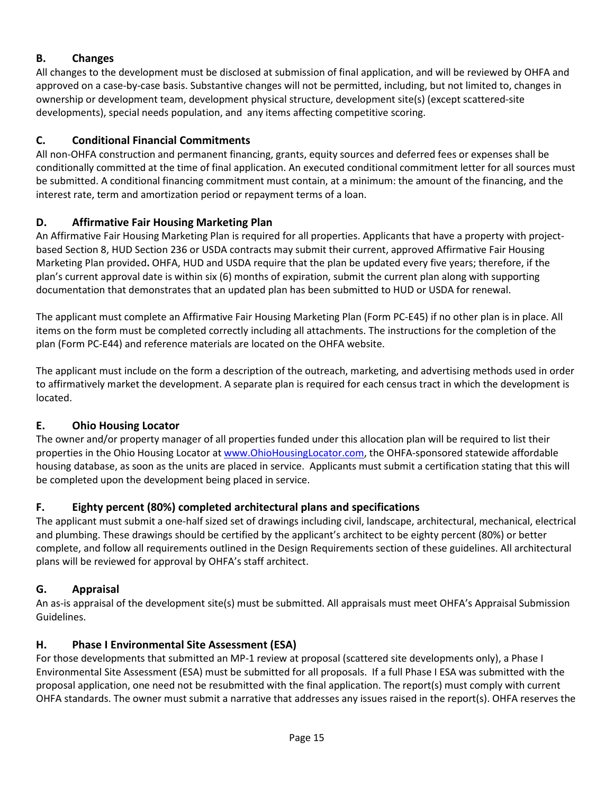### **B. Changes**

All changes to the development must be disclosed at submission of final application, and will be reviewed by OHFA and approved on a case-by-case basis. Substantive changes will not be permitted, including, but not limited to, changes in ownership or development team, development physical structure, development site(s) (except scattered-site developments), special needs population, and any items affecting competitive scoring.

### **C. Conditional Financial Commitments**

All non-OHFA construction and permanent financing, grants, equity sources and deferred fees or expenses shall be conditionally committed at the time of final application. An executed conditional commitment letter for all sources must be submitted. A conditional financing commitment must contain, at a minimum: the amount of the financing, and the interest rate, term and amortization period or repayment terms of a loan.

### **D. Affirmative Fair Housing Marketing Plan**

An Affirmative Fair Housing Marketing Plan is required for all properties. Applicants that have a property with projectbased Section 8, HUD Section 236 or USDA contracts may submit their current, approved Affirmative Fair Housing Marketing Plan provided**.** OHFA, HUD and USDA require that the plan be updated every five years; therefore, if the plan's current approval date is within six (6) months of expiration, submit the current plan along with supporting documentation that demonstrates that an updated plan has been submitted to HUD or USDA for renewal.

The applicant must complete an Affirmative Fair Housing Marketing Plan (Form PC-E45) if no other plan is in place. All items on the form must be completed correctly including all attachments. The instructions for the completion of the plan (Form PC-E44) and reference materials are located on the OHFA website.

The applicant must include on the form a description of the outreach, marketing, and advertising methods used in order to affirmatively market the development. A separate plan is required for each census tract in which the development is located.

### **E. Ohio Housing Locator**

The owner and/or property manager of all properties funded under this allocation plan will be required to list their properties in the Ohio Housing Locator at [www.OhioHousingLocator.com,](http://www.ohiohousinglocator.com/) the OHFA-sponsored statewide affordable housing database, as soon as the units are placed in service. Applicants must submit a certification stating that this will be completed upon the development being placed in service.

### **F. Eighty percent (80%) completed architectural plans and specifications**

The applicant must submit a one-half sized set of drawings including civil, landscape, architectural, mechanical, electrical and plumbing. These drawings should be certified by the applicant's architect to be eighty percent (80%) or better complete, and follow all requirements outlined in the Design Requirements section of these guidelines. All architectural plans will be reviewed for approval by OHFA's staff architect.

### **G. Appraisal**

An as-is appraisal of the development site(s) must be submitted. All appraisals must meet OHFA's Appraisal Submission Guidelines.

### **H. Phase I Environmental Site Assessment (ESA)**

For those developments that submitted an MP-1 review at proposal (scattered site developments only), a Phase I Environmental Site Assessment (ESA) must be submitted for all proposals. If a full Phase I ESA was submitted with the proposal application, one need not be resubmitted with the final application. The report(s) must comply with current OHFA standards. The owner must submit a narrative that addresses any issues raised in the report(s). OHFA reserves the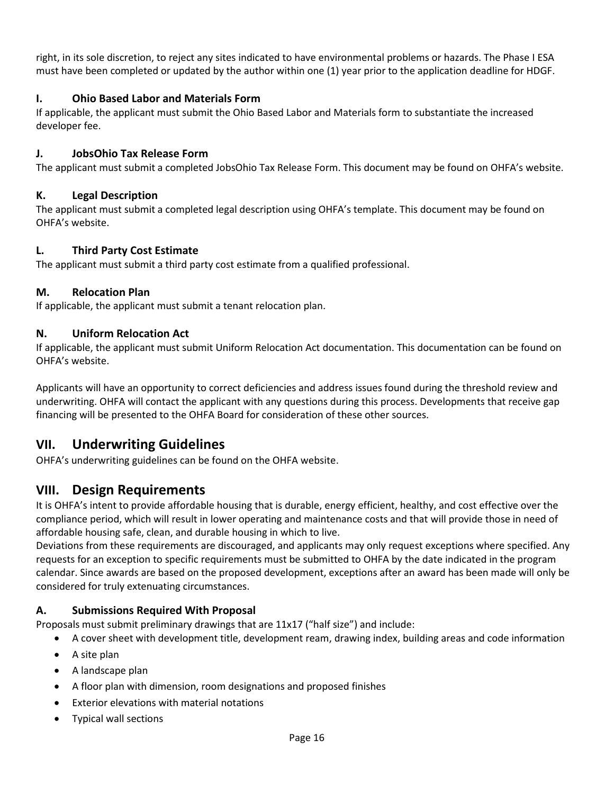right, in its sole discretion, to reject any sites indicated to have environmental problems or hazards. The Phase I ESA must have been completed or updated by the author within one (1) year prior to the application deadline for HDGF.

#### **I. Ohio Based Labor and Materials Form**

If applicable, the applicant must submit the Ohio Based Labor and Materials form to substantiate the increased developer fee.

#### **J. JobsOhio Tax Release Form**

The applicant must submit a completed JobsOhio Tax Release Form. This document may be found on OHFA's website.

#### **K. Legal Description**

The applicant must submit a completed legal description using OHFA's template. This document may be found on OHFA's website.

#### **L. Third Party Cost Estimate**

The applicant must submit a third party cost estimate from a qualified professional.

#### **M. Relocation Plan**

If applicable, the applicant must submit a tenant relocation plan.

#### **N. Uniform Relocation Act**

If applicable, the applicant must submit Uniform Relocation Act documentation. This documentation can be found on OHFA's website.

Applicants will have an opportunity to correct deficiencies and address issues found during the threshold review and underwriting. OHFA will contact the applicant with any questions during this process. Developments that receive gap financing will be presented to the OHFA Board for consideration of these other sources.

## <span id="page-16-0"></span>**VII. Underwriting Guidelines**

OHFA's underwriting guidelines can be found on the OHFA website.

### <span id="page-16-1"></span>**VIII. Design Requirements**

It is OHFA's intent to provide affordable housing that is durable, energy efficient, healthy, and cost effective over the compliance period, which will result in lower operating and maintenance costs and that will provide those in need of affordable housing safe, clean, and durable housing in which to live.

Deviations from these requirements are discouraged, and applicants may only request exceptions where specified. Any requests for an exception to specific requirements must be submitted to OHFA by the date indicated in the program calendar. Since awards are based on the proposed development, exceptions after an award has been made will only be considered for truly extenuating circumstances.

#### <span id="page-16-2"></span>**A. Submissions Required With Proposal**

Proposals must submit preliminary drawings that are 11x17 ("half size") and include:

- A cover sheet with development title, development ream, drawing index, building areas and code information
- A site plan
- A landscape plan
- A floor plan with dimension, room designations and proposed finishes
- Exterior elevations with material notations
- Typical wall sections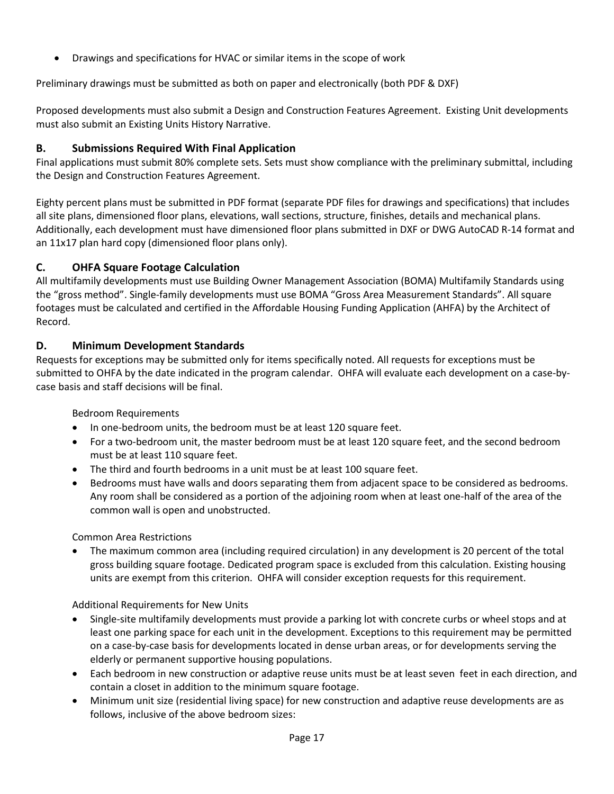• Drawings and specifications for HVAC or similar items in the scope of work

Preliminary drawings must be submitted as both on paper and electronically (both PDF & DXF)

Proposed developments must also submit a Design and Construction Features Agreement. Existing Unit developments must also submit an Existing Units History Narrative.

#### <span id="page-17-0"></span>**B. Submissions Required With Final Application**

Final applications must submit 80% complete sets. Sets must show compliance with the preliminary submittal, including the Design and Construction Features Agreement.

Eighty percent plans must be submitted in PDF format (separate PDF files for drawings and specifications) that includes all site plans, dimensioned floor plans, elevations, wall sections, structure, finishes, details and mechanical plans. Additionally, each development must have dimensioned floor plans submitted in DXF or DWG AutoCAD R-14 format and an 11x17 plan hard copy (dimensioned floor plans only).

### <span id="page-17-1"></span>**C. OHFA Square Footage Calculation**

All multifamily developments must use Building Owner Management Association (BOMA) Multifamily Standards using the "gross method". Single-family developments must use BOMA "Gross Area Measurement Standards". All square footages must be calculated and certified in the Affordable Housing Funding Application (AHFA) by the Architect of Record.

#### <span id="page-17-2"></span>**D. Minimum Development Standards**

Requests for exceptions may be submitted only for items specifically noted. All requests for exceptions must be submitted to OHFA by the date indicated in the program calendar. OHFA will evaluate each development on a case-bycase basis and staff decisions will be final.

Bedroom Requirements

- In one-bedroom units, the bedroom must be at least 120 square feet.
- For a two-bedroom unit, the master bedroom must be at least 120 square feet, and the second bedroom must be at least 110 square feet.
- The third and fourth bedrooms in a unit must be at least 100 square feet.
- Bedrooms must have walls and doors separating them from adjacent space to be considered as bedrooms. Any room shall be considered as a portion of the adjoining room when at least one-half of the area of the common wall is open and unobstructed.

Common Area Restrictions

• The maximum common area (including required circulation) in any development is 20 percent of the total gross building square footage. Dedicated program space is excluded from this calculation. Existing housing units are exempt from this criterion. OHFA will consider exception requests for this requirement.

Additional Requirements for New Units

- Single-site multifamily developments must provide a parking lot with concrete curbs or wheel stops and at least one parking space for each unit in the development. Exceptions to this requirement may be permitted on a case-by-case basis for developments located in dense urban areas, or for developments serving the elderly or permanent supportive housing populations.
- Each bedroom in new construction or adaptive reuse units must be at least seven feet in each direction, and contain a closet in addition to the minimum square footage.
- Minimum unit size (residential living space) for new construction and adaptive reuse developments are as follows, inclusive of the above bedroom sizes: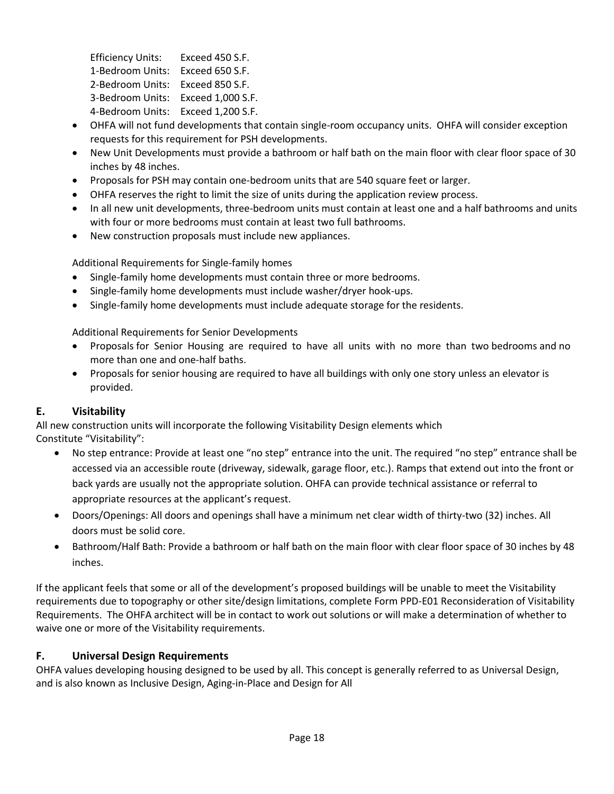Efficiency Units: Exceed 450 S.F. 1-Bedroom Units: Exceed 650 S.F. 2-Bedroom Units: Exceed 850 S.F. 3-Bedroom Units: Exceed 1,000 S.F. 4-Bedroom Units: Exceed 1,200 S.F.

- OHFA will not fund developments that contain single-room occupancy units. OHFA will consider exception requests for this requirement for PSH developments.
- New Unit Developments must provide a bathroom or half bath on the main floor with clear floor space of 30 inches by 48 inches.
- Proposals for PSH may contain one-bedroom units that are 540 square feet or larger.
- OHFA reserves the right to limit the size of units during the application review process.
- In all new unit developments, three-bedroom units must contain at least one and a half bathrooms and units with four or more bedrooms must contain at least two full bathrooms.
- New construction proposals must include new appliances.

Additional Requirements for Single-family homes

- Single-family home developments must contain three or more bedrooms.
- Single-family home developments must include washer/dryer hook-ups.
- Single-family home developments must include adequate storage for the residents.

Additional Requirements for Senior Developments

- Proposals for Senior Housing are required to have all units with no more than two bedrooms and no more than one and one-half baths.
- Proposals for senior housing are required to have all buildings with only one story unless an elevator is provided.

### <span id="page-18-0"></span>**E. Visitability**

All new construction units will incorporate the following Visitability Design elements which Constitute "Visitability":

- No step entrance: Provide at least one "no step" entrance into the unit. The required "no step" entrance shall be accessed via an accessible route (driveway, sidewalk, garage floor, etc.). Ramps that extend out into the front or back yards are usually not the appropriate solution. OHFA can provide technical assistance or referral to appropriate resources at the applicant's request.
- Doors/Openings: All doors and openings shall have a minimum net clear width of thirty-two (32) inches. All doors must be solid core.
- Bathroom/Half Bath: Provide a bathroom or half bath on the main floor with clear floor space of 30 inches by 48 inches.

If the applicant feels that some or all of the development's proposed buildings will be unable to meet the Visitability requirements due to topography or other site/design limitations, complete Form PPD-E01 Reconsideration of Visitability Requirements. The OHFA architect will be in contact to work out solutions or will make a determination of whether to waive one or more of the Visitability requirements.

### <span id="page-18-1"></span>**F. Universal Design Requirements**

OHFA values developing housing designed to be used by all. This concept is generally referred to as Universal Design, and is also known as Inclusive Design, Aging-in-Place and Design for All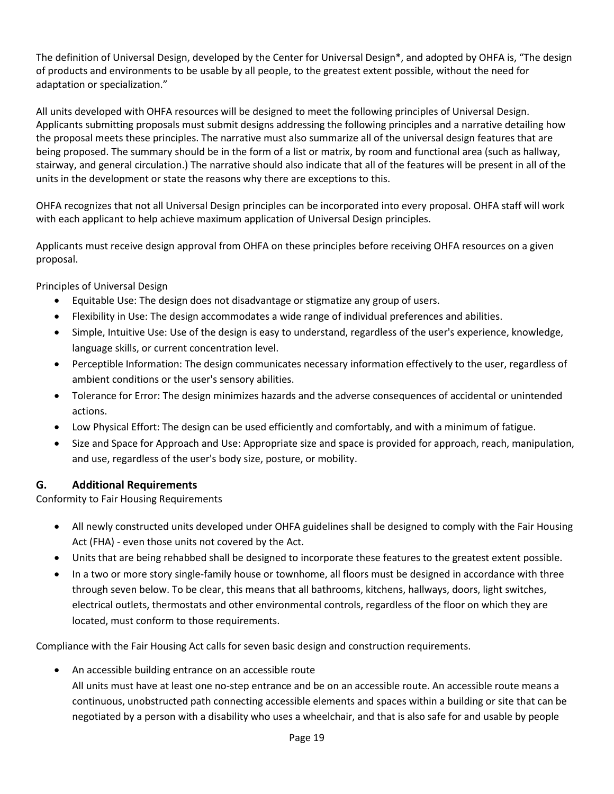The definition of Universal Design, developed by the Center for Universal Design\*, and adopted by OHFA is, "The design of products and environments to be usable by all people, to the greatest extent possible, without the need for adaptation or specialization."

All units developed with OHFA resources will be designed to meet the following principles of Universal Design. Applicants submitting proposals must submit designs addressing the following principles and a narrative detailing how the proposal meets these principles. The narrative must also summarize all of the universal design features that are being proposed. The summary should be in the form of a list or matrix, by room and functional area (such as hallway, stairway, and general circulation.) The narrative should also indicate that all of the features will be present in all of the units in the development or state the reasons why there are exceptions to this.

OHFA recognizes that not all Universal Design principles can be incorporated into every proposal. OHFA staff will work with each applicant to help achieve maximum application of Universal Design principles.

Applicants must receive design approval from OHFA on these principles before receiving OHFA resources on a given proposal.

Principles of Universal Design

- Equitable Use: The design does not disadvantage or stigmatize any group of users.
- Flexibility in Use: The design accommodates a wide range of individual preferences and abilities.
- Simple, Intuitive Use: Use of the design is easy to understand, regardless of the user's experience, knowledge, language skills, or current concentration level.
- Perceptible Information: The design communicates necessary information effectively to the user, regardless of ambient conditions or the user's sensory abilities.
- Tolerance for Error: The design minimizes hazards and the adverse consequences of accidental or unintended actions.
- Low Physical Effort: The design can be used efficiently and comfortably, and with a minimum of fatigue.
- Size and Space for Approach and Use: Appropriate size and space is provided for approach, reach, manipulation, and use, regardless of the user's body size, posture, or mobility.

### <span id="page-19-0"></span>**G. Additional Requirements**

Conformity to Fair Housing Requirements

- All newly constructed units developed under OHFA guidelines shall be designed to comply with the Fair Housing Act (FHA) - even those units not covered by the Act.
- Units that are being rehabbed shall be designed to incorporate these features to the greatest extent possible.
- In a two or more story single-family house or townhome, all floors must be designed in accordance with three through seven below. To be clear, this means that all bathrooms, kitchens, hallways, doors, light switches, electrical outlets, thermostats and other environmental controls, regardless of the floor on which they are located, must conform to those requirements.

Compliance with the Fair Housing Act calls for seven basic design and construction requirements.

• An accessible building entrance on an accessible route

All units must have at least one no-step entrance and be on an accessible route. An accessible route means a continuous, unobstructed path connecting accessible elements and spaces within a building or site that can be negotiated by a person with a disability who uses a wheelchair, and that is also safe for and usable by people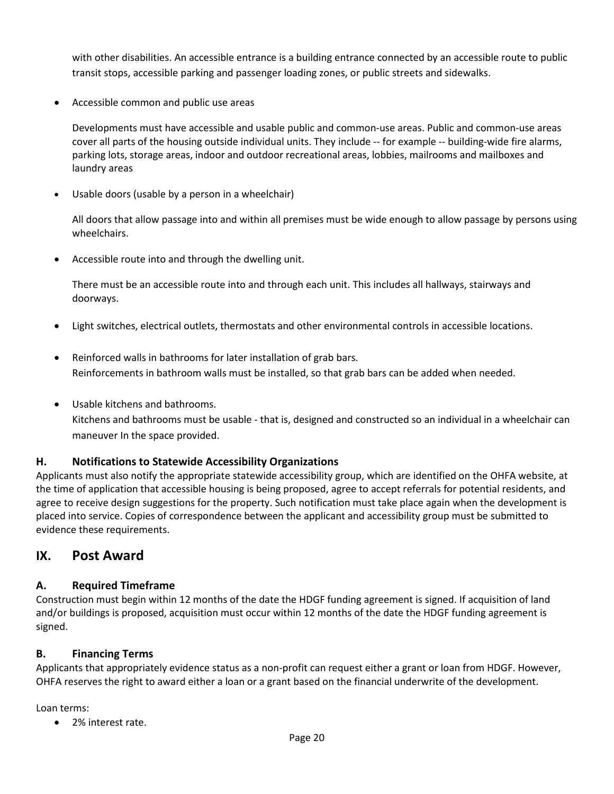with other disabilities. An accessible entrance is a building entrance connected by an accessible route to public transit stops, accessible parking and passenger loading zones, or public streets and sidewalks.

• Accessible common and public use areas

Developments must have accessible and usable public and common-use areas. Public and common-use areas cover all parts of the housing outside individual units. They include -- for example -- building-wide fire alarms, parking lots, storage areas, indoor and outdoor recreational areas, lobbies, mailrooms and mailboxes and laundry areas

• Usable doors (usable by a person in a wheelchair)

All doors that allow passage into and within all premises must be wide enough to allow passage by persons using wheelchairs.

• Accessible route into and through the dwelling unit.

There must be an accessible route into and through each unit. This includes all hallways, stairways and doorways.

- Light switches, electrical outlets, thermostats and other environmental controls in accessible locations.
- Reinforced walls in bathrooms for later installation of grab bars. Reinforcements in bathroom walls must be installed, so that grab bars can be added when needed.
- Usable kitchens and bathrooms. Kitchens and bathrooms must be usable - that is, designed and constructed so an individual in a wheelchair can maneuver In the space provided.

#### <span id="page-20-0"></span>**H. Notifications to Statewide Accessibility Organizations**

Applicants must also notify the appropriate statewide accessibility group, which are identified on the OHFA website, at the time of application that accessible housing is being proposed, agree to accept referrals for potential residents, and agree to receive design suggestions for the property. Such notification must take place again when the development is placed into service. Copies of correspondence between the applicant and accessibility group must be submitted to evidence these requirements.

### <span id="page-20-1"></span>**IX. Post Award**

### <span id="page-20-2"></span>**A. Required Timeframe**

Construction must begin within 12 months of the date the HDGF funding agreement is signed. If acquisition of land and/or buildings is proposed, acquisition must occur within 12 months of the date the HDGF funding agreement is signed.

#### <span id="page-20-3"></span>**B. Financing Terms**

Applicants that appropriately evidence status as a non-profit can request either a grant or loan from HDGF. However, OHFA reserves the right to award either a loan or a grant based on the financial underwrite of the development.

Loan terms:

• 2% interest rate.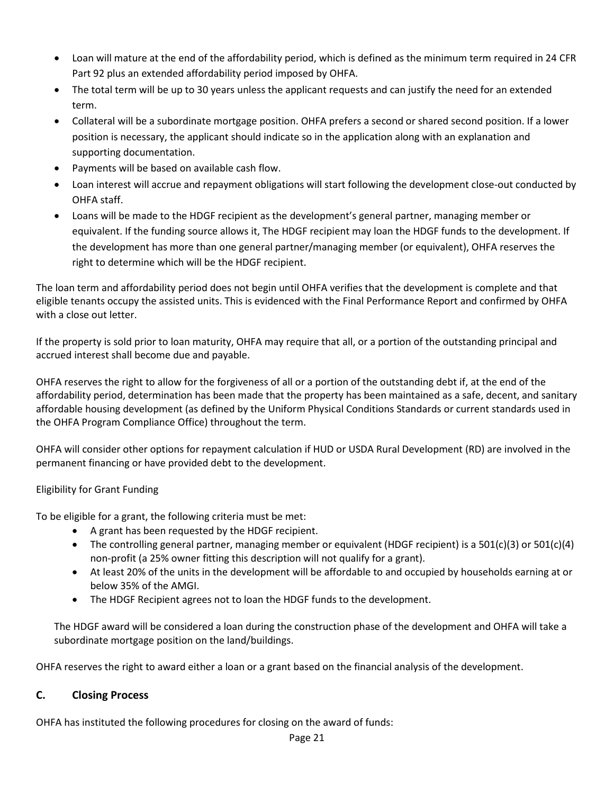- Loan will mature at the end of the affordability period, which is defined as the minimum term required in 24 CFR Part 92 plus an extended affordability period imposed by OHFA.
- The total term will be up to 30 years unless the applicant requests and can justify the need for an extended term.
- Collateral will be a subordinate mortgage position. OHFA prefers a second or shared second position. If a lower position is necessary, the applicant should indicate so in the application along with an explanation and supporting documentation.
- Payments will be based on available cash flow.
- Loan interest will accrue and repayment obligations will start following the development close-out conducted by OHFA staff.
- Loans will be made to the HDGF recipient as the development's general partner, managing member or equivalent. If the funding source allows it, The HDGF recipient may loan the HDGF funds to the development. If the development has more than one general partner/managing member (or equivalent), OHFA reserves the right to determine which will be the HDGF recipient.

The loan term and affordability period does not begin until OHFA verifies that the development is complete and that eligible tenants occupy the assisted units. This is evidenced with the Final Performance Report and confirmed by OHFA with a close out letter.

If the property is sold prior to loan maturity, OHFA may require that all, or a portion of the outstanding principal and accrued interest shall become due and payable.

OHFA reserves the right to allow for the forgiveness of all or a portion of the outstanding debt if, at the end of the affordability period, determination has been made that the property has been maintained as a safe, decent, and sanitary affordable housing development (as defined by the Uniform Physical Conditions Standards or current standards used in the OHFA Program Compliance Office) throughout the term.

OHFA will consider other options for repayment calculation if HUD or USDA Rural Development (RD) are involved in the permanent financing or have provided debt to the development.

### Eligibility for Grant Funding

To be eligible for a grant, the following criteria must be met:

- A grant has been requested by the HDGF recipient.
- The controlling general partner, managing member or equivalent (HDGF recipient) is a  $501(c)(3)$  or  $501(c)(4)$ non-profit (a 25% owner fitting this description will not qualify for a grant).
- At least 20% of the units in the development will be affordable to and occupied by households earning at or below 35% of the AMGI.
- The HDGF Recipient agrees not to loan the HDGF funds to the development.

The HDGF award will be considered a loan during the construction phase of the development and OHFA will take a subordinate mortgage position on the land/buildings.

OHFA reserves the right to award either a loan or a grant based on the financial analysis of the development.

### <span id="page-21-0"></span>**C. Closing Process**

OHFA has instituted the following procedures for closing on the award of funds: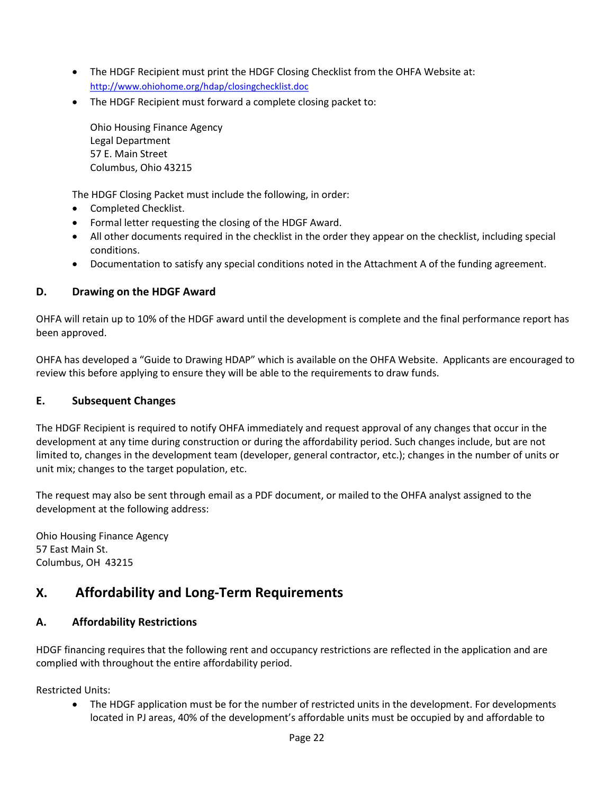- The HDGF Recipient must print the HDGF Closing Checklist from the OHFA Website at: <http://www.ohiohome.org/hdap/closingchecklist.doc>
- The HDGF Recipient must forward a complete closing packet to:

Ohio Housing Finance Agency Legal Department 57 E. Main Street Columbus, Ohio 43215

The HDGF Closing Packet must include the following, in order:

- Completed Checklist.
- Formal letter requesting the closing of the HDGF Award.
- All other documents required in the checklist in the order they appear on the checklist, including special conditions.
- Documentation to satisfy any special conditions noted in the Attachment A of the funding agreement.

### <span id="page-22-0"></span>**D. Drawing on the HDGF Award**

OHFA will retain up to 10% of the HDGF award until the development is complete and the final performance report has been approved.

OHFA has developed a "Guide to Drawing HDAP" which is available on the OHFA Website. Applicants are encouraged to review this before applying to ensure they will be able to the requirements to draw funds.

#### <span id="page-22-1"></span>**E. Subsequent Changes**

The HDGF Recipient is required to notify OHFA immediately and request approval of any changes that occur in the development at any time during construction or during the affordability period. Such changes include, but are not limited to, changes in the development team (developer, general contractor, etc.); changes in the number of units or unit mix; changes to the target population, etc.

The request may also be sent through email as a PDF document, or mailed to the OHFA analyst assigned to the development at the following address:

Ohio Housing Finance Agency 57 East Main St. Columbus, OH 43215

## <span id="page-22-2"></span>**X. Affordability and Long-Term Requirements**

### <span id="page-22-3"></span>**A. Affordability Restrictions**

HDGF financing requires that the following rent and occupancy restrictions are reflected in the application and are complied with throughout the entire affordability period.

Restricted Units:

• The HDGF application must be for the number of restricted units in the development. For developments located in PJ areas, 40% of the development's affordable units must be occupied by and affordable to